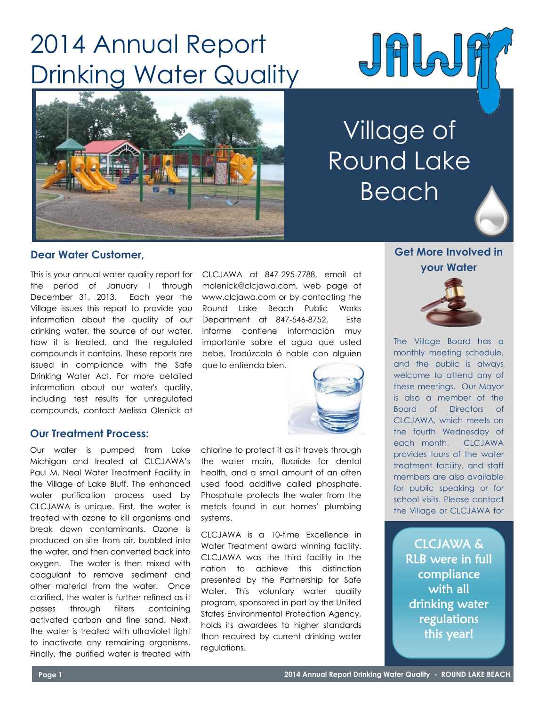# 2014 Annual Report Drinking Water Quality





# Village of Round Lake Beach

## **Dear Water Customer,**

This is your annual water quality report for the period of January 1 through December 31, 2013. Each year the Village issues this report to provide you information about the quality of our drinking water, the source of our water, how it is treated, and the regulated compounds it contains. These reports are issued in compliance with the Safe Drinking Water Act. For more detailed information about our water's quality, including test results for unregulated compounds, contact Melissa Olenick at

## **Our Treatment Process:**

Our water is pumped from Lake Michigan and treated at CLCJAWA's Paul M. Neal Water Treatment Facility in the Village of Lake Bluff. The enhanced water purification process used by CLCJAWA is unique. First, the water is treated with ozone to kill organisms and break down contaminants. Ozone is produced on-site from air, bubbled into the water, and then converted back into oxygen. The water is then mixed with coagulant to remove sediment and other material from the water. Once clarified, the water is further refined as it passes through filters containing activated carbon and fine sand. Next, the water is treated with ultraviolet light to inactivate any remaining organisms. Finally, the purified water is treated with

CLCJAWA at 847-295-7788, email at molenick@clcjawa.com, web page at www.clcjawa.com or by contacting the Round Lake Beach Public Works Department at 847-546-8752. Este informe contiene informaciόn muy importante sobre el agua que usted bebe. Tradúzcalo ό hable con alguien que lo entienda bien.



chlorine to protect it as it travels through the water main, fluoride for dental health, and a small amount of an often used food additive called phosphate. Phosphate protects the water from the metals found in our homes' plumbing systems.

CLCJAWA is a 10-time Excellence in Water Treatment award winning facility. CLCJAWA was the third facility in the nation to achieve this distinction presented by the Partnership for Safe Water. This voluntary water quality program, sponsored in part by the United States Environmental Protection Agency, holds its awardees to higher standards than required by current drinking water regulations.

# **Get More Involved in your Water**



The Village Board has a monthly meeting schedule, and the public is always welcome to attend any of these meetings. Our Mayor is also a member of the Board of Directors of CLCJAWA, which meets on the fourth Wednesday of each month. CLCJAWA provides tours of the water treatment facility, and staff members are also available for public speaking or for school visits. Please contact the Village or CLCJAWA for

> CLCJAWA & RLB were in full compliance with all drinking water regulations this year!

**more information.**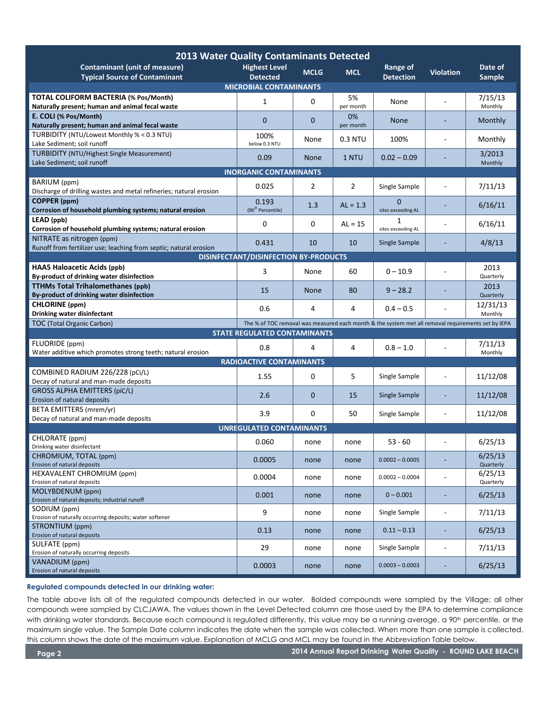| <b>2013 Water Quality Contaminants Detected</b>                                                                                         |                               |              |                 |                         |                  |                    |
|-----------------------------------------------------------------------------------------------------------------------------------------|-------------------------------|--------------|-----------------|-------------------------|------------------|--------------------|
| <b>Contaminant (unit of measure)</b>                                                                                                    | <b>Highest Level</b>          | <b>MCLG</b>  | <b>MCL</b>      | Range of                | <b>Violation</b> | Date of            |
| <b>Typical Source of Contaminant</b>                                                                                                    | <b>Detected</b>               |              |                 | <b>Detection</b>        |                  | Sample             |
| <b>MICROBIAL CONTAMINANTS</b>                                                                                                           |                               |              |                 |                         |                  |                    |
| <b>TOTAL COLIFORM BACTERIA (% Pos/Month)</b><br>Naturally present; human and animal fecal waste                                         | 1                             | 0            | 5%<br>per month | None                    |                  | 7/15/13<br>Monthly |
| E. COLI (% Pos/Month)                                                                                                                   | $\mathbf 0$                   | $\mathbf{0}$ | 0%              | <b>None</b>             |                  | Monthly            |
| Naturally present; human and animal fecal waste<br>TURBIDITY (NTU/Lowest Monthly % < 0.3 NTU)                                           | 100%                          |              | per month       |                         |                  |                    |
| Lake Sediment; soil runoff                                                                                                              | below 0.3 NTU                 | None         | 0.3 NTU         | 100%                    |                  | Monthly            |
| <b>TURBIDITY (NTU/Highest Single Measurement)</b><br>Lake Sediment; soil runoff                                                         | 0.09                          | <b>None</b>  | 1 NTU           | $0.02 - 0.09$           |                  | 3/2013<br>Monthly  |
| <b>INORGANIC CONTAMINANTS</b>                                                                                                           |                               |              |                 |                         |                  |                    |
| BARIUM (ppm)                                                                                                                            |                               |              |                 |                         |                  |                    |
| Discharge of drilling wastes and metal refineries; natural erosion                                                                      | 0.025                         | 2            | 2               | Single Sample           |                  | 7/11/13            |
| COPPER (ppm)                                                                                                                            | 0.193                         | 1.3          | $AL = 1.3$      | $\Omega$                |                  | 6/16/11            |
| Corrosion of household plumbing systems; natural erosion                                                                                | (90 <sup>th</sup> Percentile) |              |                 | sites exceeding AL      |                  |                    |
| LEAD (ppb)<br>Corrosion of household plumbing systems; natural erosion                                                                  | 0                             | 0            | $AL = 15$       | 1<br>sites exceeding AL |                  | 6/16/11            |
| NITRATE as nitrogen (ppm)                                                                                                               |                               |              |                 |                         |                  |                    |
| Runoff from fertilizer use; leaching from septic; natural erosion                                                                       | 0.431                         | 10           | 10              | Single Sample           |                  | 4/8/13             |
| <b>DISINFECTANT/DISINFECTION BY-PRODUCTS</b>                                                                                            |                               |              |                 |                         |                  |                    |
| <b>HAA5 Haloacetic Acids (ppb)</b>                                                                                                      | 3                             | None         | 60              | $0 - 10.9$              |                  | 2013               |
| By-product of drinking water disinfection                                                                                               |                               |              |                 |                         |                  | Quarterly          |
| <b>TTHMs Total Trihalomethanes (ppb)</b><br>By-product of drinking water disinfection                                                   | 15                            | <b>None</b>  | 80              | $9 - 28.2$              |                  | 2013<br>Quarterly  |
| <b>CHLORINE</b> (ppm)                                                                                                                   |                               |              |                 |                         |                  | 12/31/13           |
| Drinking water disinfectant                                                                                                             | 0.6                           | 4            | 4               | $0.4 - 0.5$             |                  | Monthly            |
| The % of TOC removal was measured each month & the system met all removal requirements set by IEPA<br><b>TOC (Total Organic Carbon)</b> |                               |              |                 |                         |                  |                    |
| <b>STATE REGULATED CONTAMINANTS</b>                                                                                                     |                               |              |                 |                         |                  |                    |
| FLUORIDE (ppm)                                                                                                                          | 0.8                           | 4            | 4               | $0.8 - 1.0$             |                  | 7/11/13            |
| Water additive which promotes strong teeth; natural erosion                                                                             |                               |              |                 |                         |                  | Monthly            |
| <b>RADIOACTIVE CONTAMINANTS</b>                                                                                                         |                               |              |                 |                         |                  |                    |
| COMBINED RADIUM 226/228 (pCi/L)<br>Decay of natural and man-made deposits                                                               | 1.55                          | 0            | 5               | Single Sample           | ÷                | 11/12/08           |
| <b>GROSS ALPHA EMITTERS (piC/L)</b>                                                                                                     |                               |              |                 |                         |                  |                    |
| Erosion of natural deposits                                                                                                             | 2.6                           | $\mathbf 0$  | 15              | Single Sample           |                  | 11/12/08           |
| BETA EMITTERS (mrem/yr)                                                                                                                 | 3.9                           | $\mathbf 0$  | 50              | Single Sample           | ÷                | 11/12/08           |
| Decay of natural and man-made deposits                                                                                                  |                               |              |                 |                         |                  |                    |
| <b>UNREGULATED CONTAMINANTS</b>                                                                                                         |                               |              |                 |                         |                  |                    |
| CHLORATE (ppm)<br>Drinking water disinfectant                                                                                           | 0.060                         | none         | none            | 53 - 60                 |                  | 6/25/13            |
| CHROMIUM, TOTAL (ppm)                                                                                                                   |                               |              |                 |                         |                  | 6/25/13            |
| Erosion of natural deposits                                                                                                             | 0.0005                        | none         | none            | $0.0002 - 0.0005$       |                  | Quarterly          |
| <b>HEXAVALENT CHROMIUM (ppm)</b>                                                                                                        | 0.0004                        | none         | none            | $0.0002 - 0.0004$       |                  | 6/25/13            |
| Erosion of natural deposits<br>MOLYBDENUM (ppm)                                                                                         |                               |              |                 |                         |                  | Quarterly          |
| Erosion of natural deposits; industrial runoff                                                                                          | 0.001                         | none         | none            | $0 - 0.001$             |                  | 6/25/13            |
| SODIUM (ppm)                                                                                                                            | 9                             | none         | none            | Single Sample           | ÷                | 7/11/13            |
| Erosion of naturally occurring deposits; water softener<br>STRONTIUM (ppm)                                                              |                               |              |                 |                         |                  |                    |
| Erosion of natural deposits                                                                                                             | 0.13                          | none         | none            | $0.11 - 0.13$           |                  | 6/25/13            |
| SULFATE (ppm)                                                                                                                           | 29                            | none         | none            | Single Sample           | ÷                | 7/11/13            |
| Erosion of naturally occurring deposits                                                                                                 |                               |              |                 |                         |                  |                    |
| VANADIUM (ppm)<br>Erosion of natural deposits                                                                                           | 0.0003                        | none         | none            | $0.0003 - 0.0003$       |                  | 6/25/13            |

## **Regulated compounds detected in our drinking water:**

The table above lists all of the regulated compounds detected in our water. Bolded compounds were sampled by the Village; all other compounds were sampled by CLCJAWA. The values shown in the Level Detected column are those used by the EPA to determine compliance with drinking water standards. Because each compound is regulated differently, this value may be a running average, a 90<sup>th</sup> percentile, or the maximum single value. The Sample Date column indicates the date when the sample was collected. When more than one sample is collected, this column shows the date of the maximum value. Explanation of MCLG and MCL may be found in the Abbreviation Table below.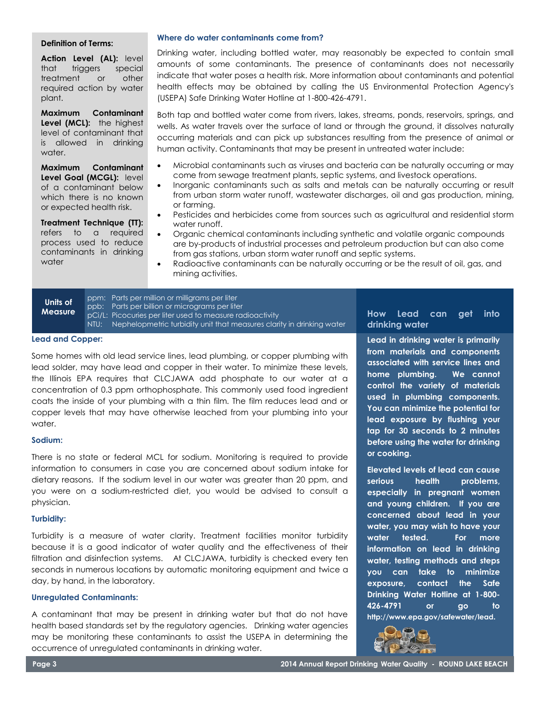#### **Definition of Terms:**

**Action Level (AL):** level that triggers special treatment or other required action by water plant.

**Maximum Contaminant Level (MCL):** the highest level of contaminant that is allowed in drinking water.

**Maximum Contaminant Level Goal (MCGL):** level of a contaminant below which there is no known or expected health risk.

**Treatment Technique (TT):** refers to a required process used to reduce contaminants in drinking water

#### **Where do water contaminants come from?**

Drinking water, including bottled water, may reasonably be expected to contain small amounts of some contaminants. The presence of contaminants does not necessarily indicate that water poses a health risk. More information about contaminants and potential health effects may be obtained by calling the US Environmental Protection Agency's (USEPA) Safe Drinking Water Hotline at 1-800-426-4791.

Both tap and bottled water come from rivers, lakes, streams, ponds, reservoirs, springs, and wells. As water travels over the surface of land or through the ground, it dissolves naturally occurring materials and can pick up substances resulting from the presence of animal or human activity. Contaminants that may be present in untreated water include:

- Microbial contaminants such as viruses and bacteria can be naturally occurring or may come from sewage treatment plants, septic systems, and livestock operations.
- Inorganic contaminants such as salts and metals can be naturally occurring or result from urban storm water runoff, wastewater discharges, oil and gas production, mining, or farming.
- Pesticides and herbicides come from sources such as agricultural and residential storm water runoff.
- Organic chemical contaminants including synthetic and volatile organic compounds are by-products of industrial processes and petroleum production but can also come from gas stations, urban storm water runoff and septic systems.
- Radioactive contaminants can be naturally occurring or be the result of oil, gas, and mining activities.

**Units of Measure**

ppm: Parts per million or milligrams per liter ppb: Parts per billion or micrograms per liter pCi/L: Picocuries per liter used to measure radioactivity NTU: Nephelopmetric turbidity unit that measures clarity in drinking water

#### **Lead and Copper:**

Some homes with old lead service lines, lead plumbing, or copper plumbing with lead solder, may have lead and copper in their water. To minimize these levels, the Illinois EPA requires that CLCJAWA add phosphate to our water at a concentration of 0.3 ppm orthophosphate. This commonly used food ingredient coats the inside of your plumbing with a thin film. The film reduces lead and or copper levels that may have otherwise leached from your plumbing into your water.

#### **Sodium:**

There is no state or federal MCL for sodium. Monitoring is required to provide information to consumers in case you are concerned about sodium intake for dietary reasons. If the sodium level in our water was greater than 20 ppm, and you were on a sodium-restricted diet, you would be advised to consult a physician.

#### **Turbidity:**

Turbidity is a measure of water clarity. Treatment facilities monitor turbidity because it is a good indicator of water quality and the effectiveness of their filtration and disinfection systems. At CLCJAWA, turbidity is checked every ten seconds in numerous locations by automatic monitoring equipment and twice a day, by hand, in the laboratory.

### **Unregulated Contaminants:**

A contaminant that may be present in drinking water but that do not have health based standards set by the regulatory agencies. Drinking water agencies may be monitoring these contaminants to assist the USEPA in determining the occurrence of unregulated contaminants in drinking water.

**How Lead can get into drinking water**

**Lead in drinking water is primarily from materials and components associated with service lines and home plumbing. We cannot control the variety of materials used in plumbing components. You can minimize the potential for lead exposure by flushing your tap for 30 seconds to 2 minutes before using the water for drinking or cooking.** 

**Elevated levels of lead can cause serious health problems, especially in pregnant women and young children. If you are concerned about lead in your water, you may wish to have your water tested. For more information on lead in drinking water, testing methods and steps you can take to minimize exposure, contact the Safe Drinking Water Hotline at 1-800- 426-4791 or go to http://www.epa.gov/safewater/lead.**